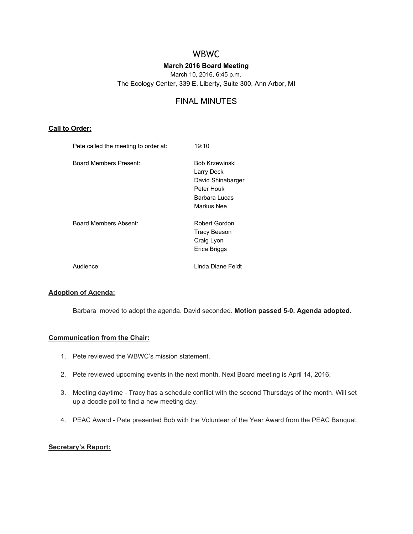# WBWC

## **March 2016 Board Meeting**

March 10, 2016, 6:45 p.m. The Ecology Center, 339 E. Liberty, Suite 300, Ann Arbor, MI

## FINAL MINUTES

#### **Call to Order:**

| Pete called the meeting to order at: | 19:10                                                                                                 |
|--------------------------------------|-------------------------------------------------------------------------------------------------------|
| <b>Board Members Present:</b>        | <b>Bob Krzewinski</b><br>Larry Deck<br>David Shinabarger<br>Peter Houk<br>Barbara Lucas<br>Markus Nee |
| Board Members Absent:                | Robert Gordon<br><b>Tracy Beeson</b><br>Craig Lyon<br>Erica Briggs                                    |
| Audience:                            | Linda Diane Feldt                                                                                     |

#### **Adoption of Agenda:**

Barbara moved to adopt the agenda. David seconded. **Motion passed 50. Agenda adopted.**

#### **Communication from the Chair:**

- 1. Pete reviewed the WBWC's mission statement.
- 2. Pete reviewed upcoming events in the next month. Next Board meeting is April 14, 2016.
- 3. Meeting day/time Tracy has a schedule conflict with the second Thursdays of the month. Will set up a doodle poll to find a new meeting day.
- 4. PEAC Award Pete presented Bob with the Volunteer of the Year Award from the PEAC Banquet.

## **Secretary's Report:**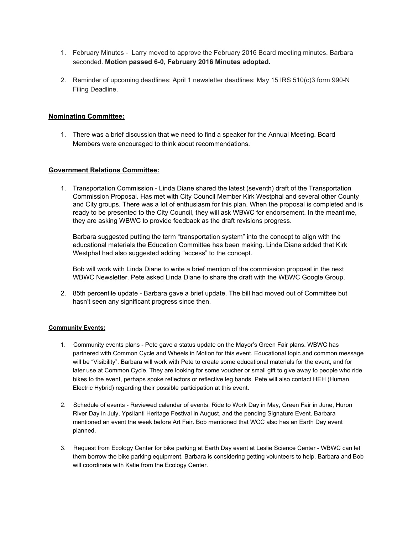- 1. February Minutes Larry moved to approve the February 2016 Board meeting minutes. Barbara seconded. **Motion passed 60, February 2016 Minutes adopted.**
- 2. Reminder of upcoming deadlines: April 1 newsletter deadlines; May 15 IRS 510(c)3 form 990-N Filing Deadline.

#### **Nominating Committee:**

1. There was a brief discussion that we need to find a speaker for the Annual Meeting. Board Members were encouraged to think about recommendations.

#### **Government Relations Committee:**

1. Transportation Commission Linda Diane shared the latest (seventh) draft of the Transportation Commission Proposal. Has met with City Council Member Kirk Westphal and several other County and City groups. There was a lot of enthusiasm for this plan. When the proposal is completed and is ready to be presented to the City Council, they will ask WBWC for endorsement. In the meantime, they are asking WBWC to provide feedback as the draft revisions progress.

Barbara suggested putting the term "transportation system" into the concept to align with the educational materials the Education Committee has been making. Linda Diane added that Kirk Westphal had also suggested adding "access" to the concept.

Bob will work with Linda Diane to write a brief mention of the commission proposal in the next WBWC Newsletter. Pete asked Linda Diane to share the draft with the WBWC Google Group.

2. 85th percentile update - Barbara gave a brief update. The bill had moved out of Committee but hasn't seen any significant progress since then.

#### **Community Events:**

- 1. Community events plans Pete gave a status update on the Mayor's Green Fair plans. WBWC has partnered with Common Cycle and Wheels in Motion for this event. Educational topic and common message will be "Visibility". Barbara will work with Pete to create some educational materials for the event, and for later use at Common Cycle. They are looking for some voucher or small gift to give away to people who ride bikes to the event, perhaps spoke reflectors or reflective leg bands. Pete will also contact HEH (Human Electric Hybrid) regarding their possible participation at this event.
- 2. Schedule of events Reviewed calendar of events. Ride to Work Day in May, Green Fair in June, Huron River Day in July, Ypsilanti Heritage Festival in August, and the pending Signature Event. Barbara mentioned an event the week before Art Fair. Bob mentioned that WCC also has an Earth Day event planned.
- 3. Request from Ecology Center for bike parking at Earth Day event at Leslie Science Center WBWC can let them borrow the bike parking equipment. Barbara is considering getting volunteers to help. Barbara and Bob will coordinate with Katie from the Ecology Center.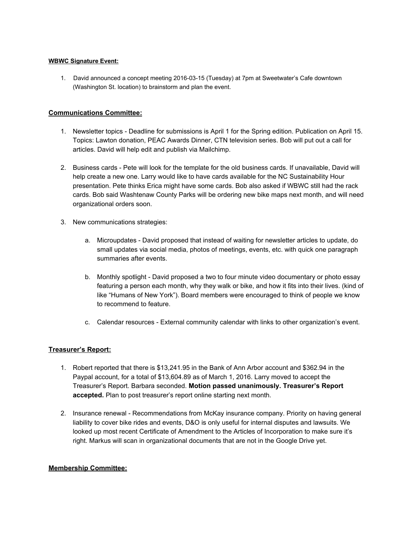#### **WBWC Signature Event:**

1. David announced a concept meeting 2016-03-15 (Tuesday) at 7pm at Sweetwater's Cafe downtown (Washington St. location) to brainstorm and plan the event.

## **Communications Committee:**

- 1. Newsletter topics Deadline for submissions is April 1 for the Spring edition. Publication on April 15. Topics: Lawton donation, PEAC Awards Dinner, CTN television series. Bob will put out a call for articles. David will help edit and publish via Mailchimp.
- 2. Business cards Pete will look for the template for the old business cards. If unavailable, David will help create a new one. Larry would like to have cards available for the NC Sustainability Hour presentation. Pete thinks Erica might have some cards. Bob also asked if WBWC still had the rack cards. Bob said Washtenaw County Parks will be ordering new bike maps next month, and will need organizational orders soon.
- 3. New communications strategies:
	- a. Microupdates David proposed that instead of waiting for newsletter articles to update, do small updates via social media, photos of meetings, events, etc. with quick one paragraph summaries after events.
	- b. Monthly spotlight David proposed a two to four minute video documentary or photo essay featuring a person each month, why they walk or bike, and how it fits into their lives. (kind of like "Humans of New York"). Board members were encouraged to think of people we know to recommend to feature.
	- c. Calendar resources External community calendar with links to other organization's event.

## **Treasurer's Report:**

- 1. Robert reported that there is \$13,241.95 in the Bank of Ann Arbor account and \$362.94 in the Paypal account, for a total of \$13,604.89 as of March 1, 2016. Larry moved to accept the Treasurer's Report. Barbara seconded. **Motion passed unanimously. Treasurer's Report accepted.** Plan to post treasurer's report online starting next month.
- 2. Insurance renewal Recommendations from McKay insurance company. Priority on having general liability to cover bike rides and events, D&O is only useful for internal disputes and lawsuits. We looked up most recent Certificate of Amendment to the Articles of Incorporation to make sure it's right. Markus will scan in organizational documents that are not in the Google Drive yet.

## **Membership Committee:**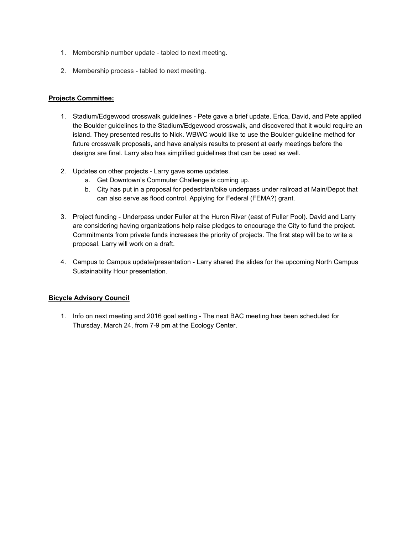- 1. Membership number update tabled to next meeting.
- 2. Membership process tabled to next meeting.

## **Projects Committee:**

- 1. Stadium/Edgewood crosswalk guidelines Pete gave a brief update. Erica, David, and Pete applied the Boulder guidelines to the Stadium/Edgewood crosswalk, and discovered that it would require an island. They presented results to Nick. WBWC would like to use the Boulder guideline method for future crosswalk proposals, and have analysis results to present at early meetings before the designs are final. Larry also has simplified guidelines that can be used as well.
- 2. Updates on other projects Larry gave some updates.
	- a. Get Downtown's Commuter Challenge is coming up.
	- b. City has put in a proposal for pedestrian/bike underpass under railroad at Main/Depot that can also serve as flood control. Applying for Federal (FEMA?) grant.
- 3. Project funding Underpass under Fuller at the Huron River (east of Fuller Pool). David and Larry are considering having organizations help raise pledges to encourage the City to fund the project. Commitments from private funds increases the priority of projects. The first step will be to write a proposal. Larry will work on a draft.
- 4. Campus to Campus update/presentation Larry shared the slides for the upcoming North Campus Sustainability Hour presentation.

## **Bicycle Advisory Council**

1. Info on next meeting and 2016 goal setting - The next BAC meeting has been scheduled for Thursday, March 24, from 7-9 pm at the Ecology Center.